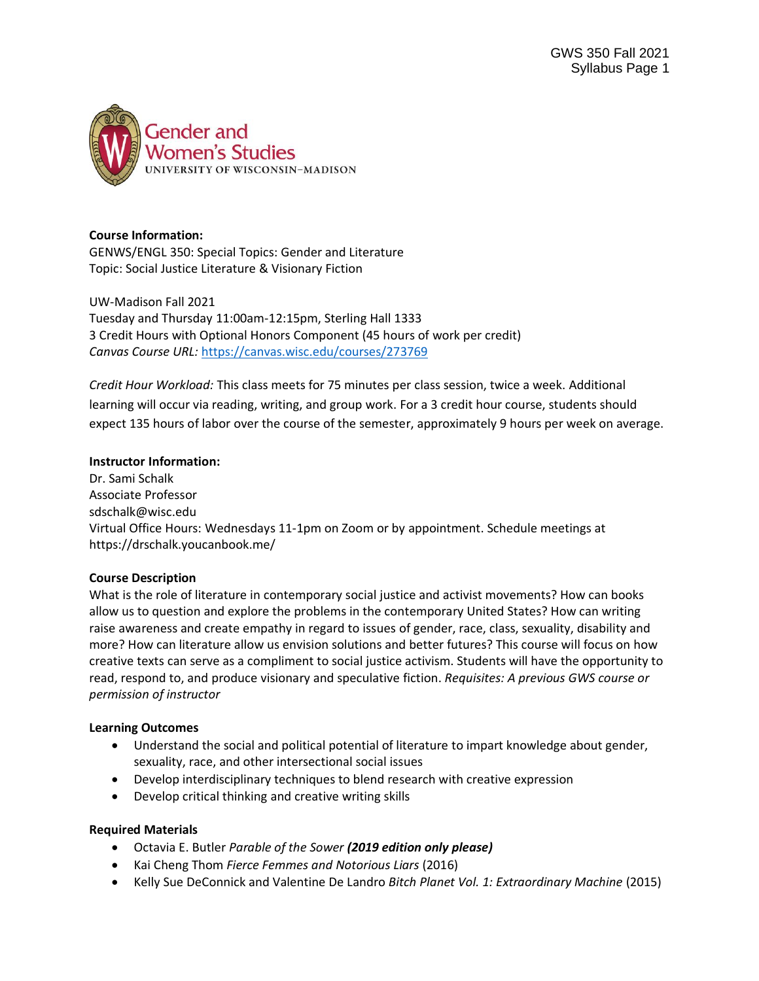

#### **Course Information:**

GENWS/ENGL 350: Special Topics: Gender and Literature Topic: Social Justice Literature & Visionary Fiction

UW-Madison Fall 2021 Tuesday and Thursday 11:00am-12:15pm, Sterling Hall 1333 3 Credit Hours with Optional Honors Component (45 hours of work per credit) *Canvas Course URL:* <https://canvas.wisc.edu/courses/273769>

*Credit Hour Workload:* This class meets for 75 minutes per class session, twice a week. Additional learning will occur via reading, writing, and group work. For a 3 credit hour course, students should expect 135 hours of labor over the course of the semester, approximately 9 hours per week on average.

#### **Instructor Information:**

Dr. Sami Schalk Associate Professor sdschalk@wisc.edu Virtual Office Hours: Wednesdays 11-1pm on Zoom or by appointment. Schedule meetings at https://drschalk.youcanbook.me/

#### **Course Description**

What is the role of literature in contemporary social justice and activist movements? How can books allow us to question and explore the problems in the contemporary United States? How can writing raise awareness and create empathy in regard to issues of gender, race, class, sexuality, disability and more? How can literature allow us envision solutions and better futures? This course will focus on how creative texts can serve as a compliment to social justice activism. Students will have the opportunity to read, respond to, and produce visionary and speculative fiction. *Requisites: A previous GWS course or permission of instructor*

#### **Learning Outcomes**

- Understand the social and political potential of literature to impart knowledge about gender, sexuality, race, and other intersectional social issues
- Develop interdisciplinary techniques to blend research with creative expression
- Develop critical thinking and creative writing skills

#### **Required Materials**

- Octavia E. Butler *Parable of the Sower (2019 edition only please)*
- Kai Cheng Thom *Fierce Femmes and Notorious Liars* (2016)
- Kelly Sue DeConnick and Valentine De Landro *Bitch Planet Vol. 1: Extraordinary Machine* (2015)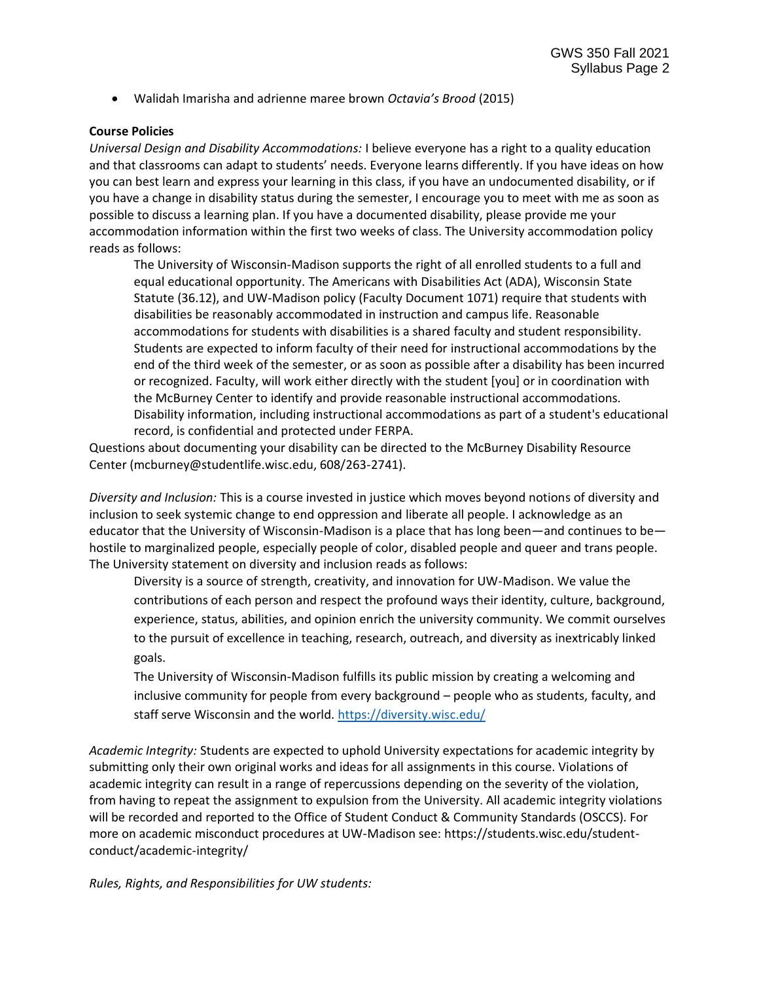• Walidah Imarisha and adrienne maree brown *Octavia's Brood* (2015)

#### **Course Policies**

*Universal Design and Disability Accommodations:* I believe everyone has a right to a quality education and that classrooms can adapt to students' needs. Everyone learns differently. If you have ideas on how you can best learn and express your learning in this class, if you have an undocumented disability, or if you have a change in disability status during the semester, I encourage you to meet with me as soon as possible to discuss a learning plan. If you have a documented disability, please provide me your accommodation information within the first two weeks of class. The University accommodation policy reads as follows:

The University of Wisconsin-Madison supports the right of all enrolled students to a full and equal educational opportunity. The Americans with Disabilities Act (ADA), Wisconsin State Statute (36.12), and UW-Madison policy (Faculty Document 1071) require that students with disabilities be reasonably accommodated in instruction and campus life. Reasonable accommodations for students with disabilities is a shared faculty and student responsibility. Students are expected to inform faculty of their need for instructional accommodations by the end of the third week of the semester, or as soon as possible after a disability has been incurred or recognized. Faculty, will work either directly with the student [you] or in coordination with the McBurney Center to identify and provide reasonable instructional accommodations. Disability information, including instructional accommodations as part of a student's educational record, is confidential and protected under FERPA.

Questions about documenting your disability can be directed to the McBurney Disability Resource Center (mcburney@studentlife.wisc.edu, 608/263-2741).

*Diversity and Inclusion:* This is a course invested in justice which moves beyond notions of diversity and inclusion to seek systemic change to end oppression and liberate all people. I acknowledge as an educator that the University of Wisconsin-Madison is a place that has long been—and continues to be hostile to marginalized people, especially people of color, disabled people and queer and trans people. The University statement on diversity and inclusion reads as follows:

Diversity is a source of strength, creativity, and innovation for UW-Madison. We value the contributions of each person and respect the profound ways their identity, culture, background, experience, status, abilities, and opinion enrich the university community. We commit ourselves to the pursuit of excellence in teaching, research, outreach, and diversity as inextricably linked goals.

The University of Wisconsin-Madison fulfills its public mission by creating a welcoming and inclusive community for people from every background – people who as students, faculty, and staff serve Wisconsin and the world. <https://diversity.wisc.edu/>

*Academic Integrity:* Students are expected to uphold University expectations for academic integrity by submitting only their own original works and ideas for all assignments in this course. Violations of academic integrity can result in a range of repercussions depending on the severity of the violation, from having to repeat the assignment to expulsion from the University. All academic integrity violations will be recorded and reported to the Office of Student Conduct & Community Standards (OSCCS). For more on academic misconduct procedures at UW-Madison see: https://students.wisc.edu/studentconduct/academic-integrity/

*Rules, Rights, and Responsibilities for UW students:*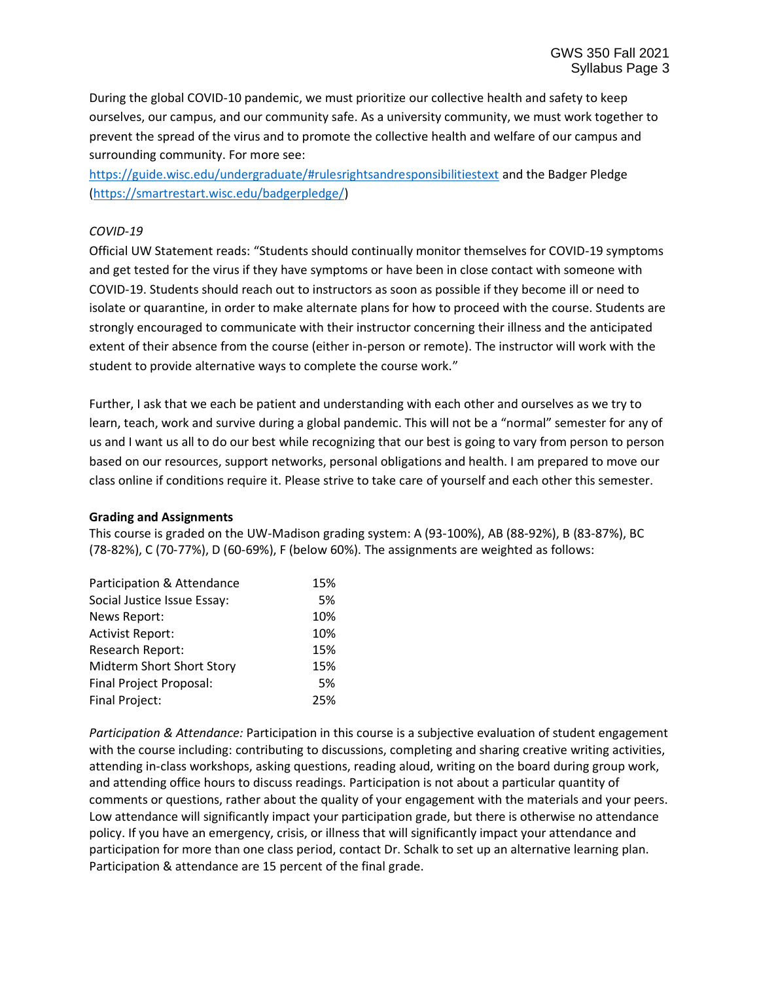During the global COVID-10 pandemic, we must prioritize our collective health and safety to keep ourselves, our campus, and our community safe. As a university community, we must work together to prevent the spread of the virus and to promote the collective health and welfare of our campus and surrounding community. For more see:

<https://guide.wisc.edu/undergraduate/#rulesrightsandresponsibilitiestext> and the Badger Pledge [\(https://smartrestart.wisc.edu/badgerpledge/\)](https://smartrestart.wisc.edu/badgerpledge/)

## *COVID-19*

Official UW Statement reads: "Students should continually monitor themselves for COVID-19 symptoms and get tested for the virus if they have symptoms or have been in close contact with someone with COVID-19. Students should reach out to instructors as soon as possible if they become ill or need to isolate or quarantine, in order to make alternate plans for how to proceed with the course. Students are strongly encouraged to communicate with their instructor concerning their illness and the anticipated extent of their absence from the course (either in-person or remote). The instructor will work with the student to provide alternative ways to complete the course work."

Further, I ask that we each be patient and understanding with each other and ourselves as we try to learn, teach, work and survive during a global pandemic. This will not be a "normal" semester for any of us and I want us all to do our best while recognizing that our best is going to vary from person to person based on our resources, support networks, personal obligations and health. I am prepared to move our class online if conditions require it. Please strive to take care of yourself and each other this semester.

#### **Grading and Assignments**

This course is graded on the UW-Madison grading system: A (93-100%), AB (88-92%), B (83-87%), BC (78-82%), C (70-77%), D (60-69%), F (below 60%). The assignments are weighted as follows:

| Participation & Attendance  | 15% |
|-----------------------------|-----|
| Social Justice Issue Essay: | 5%  |
| News Report:                | 10% |
| <b>Activist Report:</b>     | 10% |
| Research Report:            | 15% |
| Midterm Short Short Story   | 15% |
| Final Project Proposal:     | 5%  |
| <b>Final Project:</b>       | 25% |

*Participation & Attendance:* Participation in this course is a subjective evaluation of student engagement with the course including: contributing to discussions, completing and sharing creative writing activities, attending in-class workshops, asking questions, reading aloud, writing on the board during group work, and attending office hours to discuss readings. Participation is not about a particular quantity of comments or questions, rather about the quality of your engagement with the materials and your peers. Low attendance will significantly impact your participation grade, but there is otherwise no attendance policy. If you have an emergency, crisis, or illness that will significantly impact your attendance and participation for more than one class period, contact Dr. Schalk to set up an alternative learning plan. Participation & attendance are 15 percent of the final grade.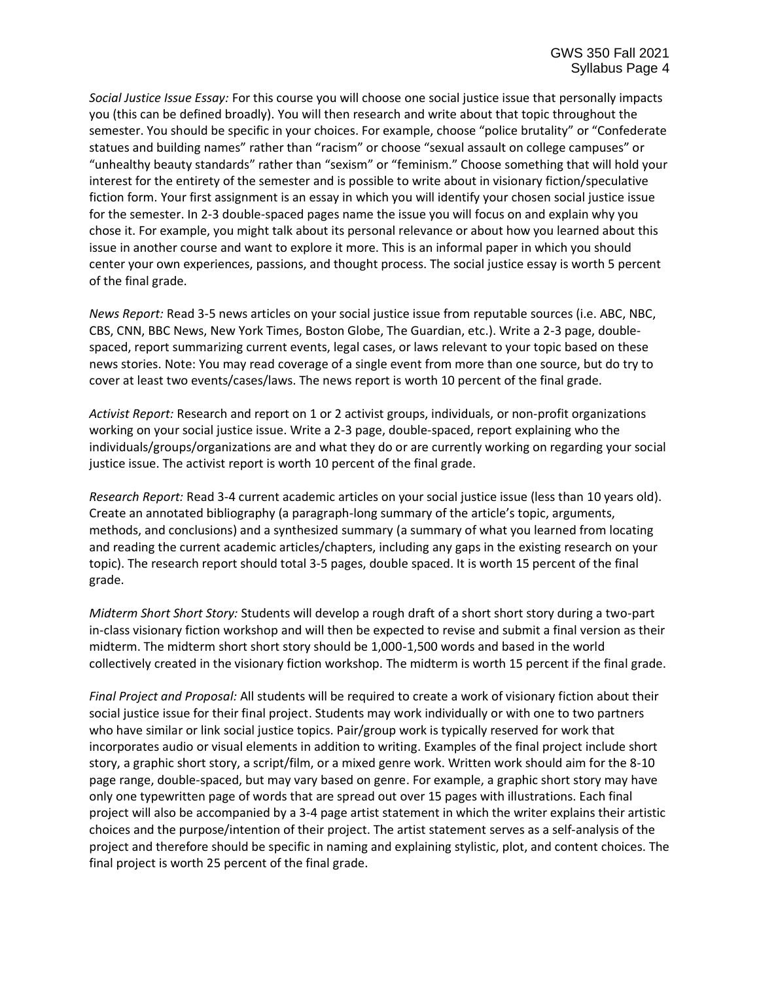*Social Justice Issue Essay:* For this course you will choose one social justice issue that personally impacts you (this can be defined broadly). You will then research and write about that topic throughout the semester. You should be specific in your choices. For example, choose "police brutality" or "Confederate statues and building names" rather than "racism" or choose "sexual assault on college campuses" or "unhealthy beauty standards" rather than "sexism" or "feminism." Choose something that will hold your interest for the entirety of the semester and is possible to write about in visionary fiction/speculative fiction form. Your first assignment is an essay in which you will identify your chosen social justice issue for the semester. In 2-3 double-spaced pages name the issue you will focus on and explain why you chose it. For example, you might talk about its personal relevance or about how you learned about this issue in another course and want to explore it more. This is an informal paper in which you should center your own experiences, passions, and thought process. The social justice essay is worth 5 percent of the final grade.

*News Report:* Read 3-5 news articles on your social justice issue from reputable sources (i.e. ABC, NBC, CBS, CNN, BBC News, New York Times, Boston Globe, The Guardian, etc.). Write a 2-3 page, doublespaced, report summarizing current events, legal cases, or laws relevant to your topic based on these news stories. Note: You may read coverage of a single event from more than one source, but do try to cover at least two events/cases/laws. The news report is worth 10 percent of the final grade.

*Activist Report:* Research and report on 1 or 2 activist groups, individuals, or non-profit organizations working on your social justice issue. Write a 2-3 page, double-spaced, report explaining who the individuals/groups/organizations are and what they do or are currently working on regarding your social justice issue. The activist report is worth 10 percent of the final grade.

*Research Report:* Read 3-4 current academic articles on your social justice issue (less than 10 years old). Create an annotated bibliography (a paragraph-long summary of the article's topic, arguments, methods, and conclusions) and a synthesized summary (a summary of what you learned from locating and reading the current academic articles/chapters, including any gaps in the existing research on your topic). The research report should total 3-5 pages, double spaced. It is worth 15 percent of the final grade.

*Midterm Short Short Story:* Students will develop a rough draft of a short short story during a two-part in-class visionary fiction workshop and will then be expected to revise and submit a final version as their midterm. The midterm short short story should be 1,000-1,500 words and based in the world collectively created in the visionary fiction workshop. The midterm is worth 15 percent if the final grade.

*Final Project and Proposal:* All students will be required to create a work of visionary fiction about their social justice issue for their final project. Students may work individually or with one to two partners who have similar or link social justice topics. Pair/group work is typically reserved for work that incorporates audio or visual elements in addition to writing. Examples of the final project include short story, a graphic short story, a script/film, or a mixed genre work. Written work should aim for the 8-10 page range, double-spaced, but may vary based on genre. For example, a graphic short story may have only one typewritten page of words that are spread out over 15 pages with illustrations. Each final project will also be accompanied by a 3-4 page artist statement in which the writer explains their artistic choices and the purpose/intention of their project. The artist statement serves as a self-analysis of the project and therefore should be specific in naming and explaining stylistic, plot, and content choices. The final project is worth 25 percent of the final grade.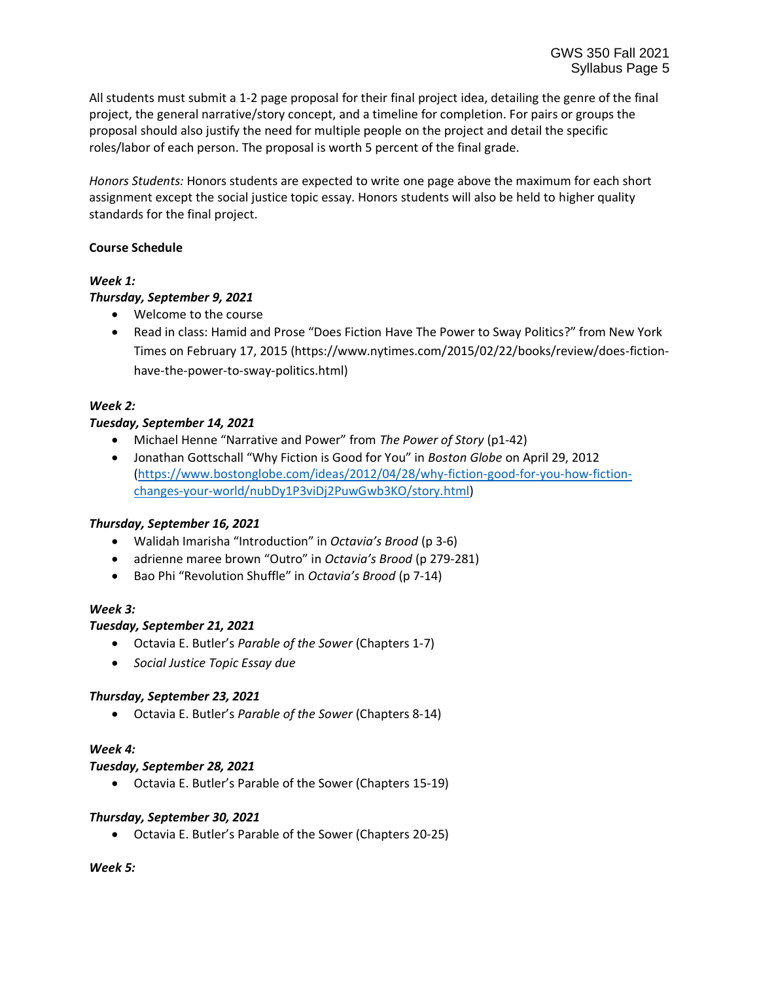All students must submit a 1-2 page proposal for their final project idea, detailing the genre of the final project, the general narrative/story concept, and a timeline for completion. For pairs or groups the proposal should also justify the need for multiple people on the project and detail the specific roles/labor of each person. The proposal is worth 5 percent of the final grade.

*Honors Students:* Honors students are expected to write one page above the maximum for each short assignment except the social justice topic essay. Honors students will also be held to higher quality standards for the final project.

#### **Course Schedule**

## *Week 1:*

# *Thursday, September 9, 2021*

- Welcome to the course
- Read in class: Hamid and Prose "Does Fiction Have The Power to Sway Politics?" from New York Times on February 17, 2015 (https://www.nytimes.com/2015/02/22/books/review/does-fictionhave-the-power-to-sway-politics.html)

# *Week 2:*

# *Tuesday, September 14, 2021*

- Michael Henne "Narrative and Power" from *The Power of Story* (p1-42)
- Jonathan Gottschall "Why Fiction is Good for You" in *Boston Globe* on April 29, 2012 [\(https://www.bostonglobe.com/ideas/2012/04/28/why-fiction-good-for-you-how-fiction](https://www.bostonglobe.com/ideas/2012/04/28/why-fiction-good-for-you-how-fiction-changes-your-world/nubDy1P3viDj2PuwGwb3KO/story.html)[changes-your-world/nubDy1P3viDj2PuwGwb3KO/story.html\)](https://www.bostonglobe.com/ideas/2012/04/28/why-fiction-good-for-you-how-fiction-changes-your-world/nubDy1P3viDj2PuwGwb3KO/story.html)

# *Thursday, September 16, 2021*

- Walidah Imarisha "Introduction" in *Octavia's Brood* (p 3-6)
- adrienne maree brown "Outro" in *Octavia's Brood* (p 279-281)
- Bao Phi "Revolution Shuffle" in *Octavia's Brood* (p 7-14)

# *Week 3:*

# *Tuesday, September 21, 2021*

- Octavia E. Butler's *Parable of the Sower* (Chapters 1-7)
- *Social Justice Topic Essay due*

# *Thursday, September 23, 2021*

• Octavia E. Butler's *Parable of the Sower* (Chapters 8-14)

# *Week 4:*

# *Tuesday, September 28, 2021*

• Octavia E. Butler's Parable of the Sower (Chapters 15-19)

# *Thursday, September 30, 2021*

• Octavia E. Butler's Parable of the Sower (Chapters 20-25)

# *Week 5:*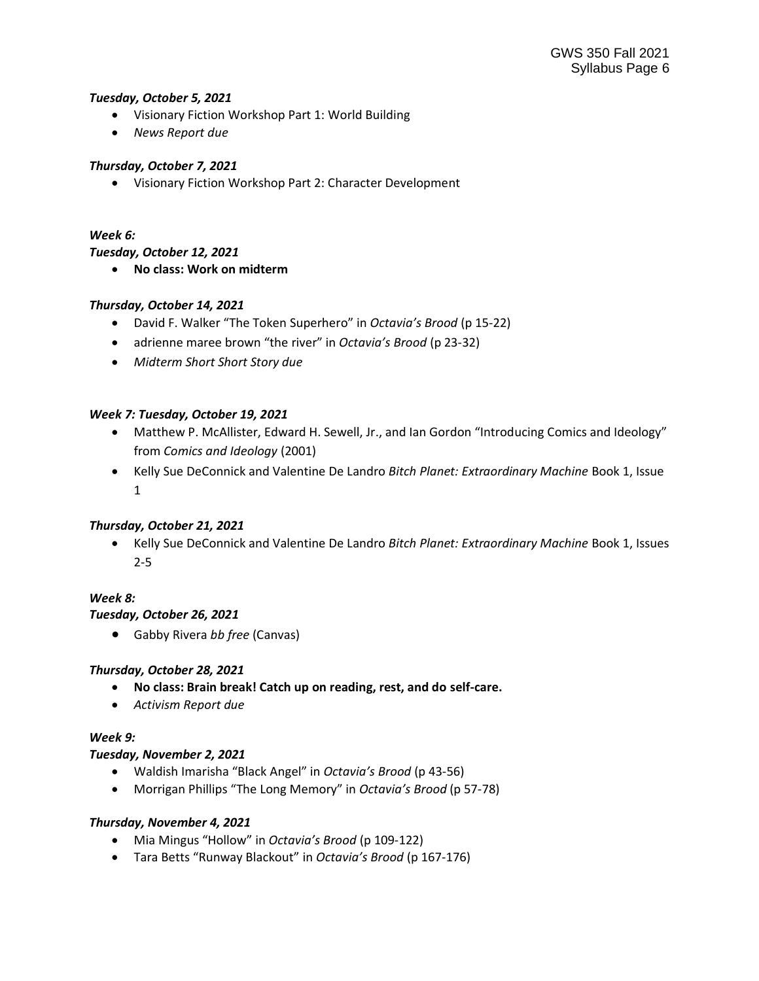#### *Tuesday, October 5, 2021*

- Visionary Fiction Workshop Part 1: World Building
- *News Report due*

# *Thursday, October 7, 2021*

• Visionary Fiction Workshop Part 2: Character Development

## *Week 6:*

#### *Tuesday, October 12, 2021*

• **No class: Work on midterm**

## *Thursday, October 14, 2021*

- David F. Walker "The Token Superhero" in *Octavia's Brood* (p 15-22)
- adrienne maree brown "the river" in *Octavia's Brood* (p 23-32)
- *Midterm Short Short Story due*

## *Week 7: Tuesday, October 19, 2021*

- Matthew P. McAllister, Edward H. Sewell, Jr., and Ian Gordon "Introducing Comics and Ideology" from *Comics and Ideology* (2001)
- Kelly Sue DeConnick and Valentine De Landro *Bitch Planet: Extraordinary Machine* Book 1, Issue 1

#### *Thursday, October 21, 2021*

• Kelly Sue DeConnick and Valentine De Landro *Bitch Planet: Extraordinary Machine* Book 1, Issues 2-5

#### *Week 8:*

#### *Tuesday, October 26, 2021*

• Gabby Rivera *bb free* (Canvas)

# *Thursday, October 28, 2021*

- **No class: Brain break! Catch up on reading, rest, and do self-care.**
- *Activism Report due*

## *Week 9:*

# *Tuesday, November 2, 2021*

- Waldish Imarisha "Black Angel" in *Octavia's Brood* (p 43-56)
- Morrigan Phillips "The Long Memory" in *Octavia's Brood* (p 57-78)

#### *Thursday, November 4, 2021*

- Mia Mingus "Hollow" in *Octavia's Brood* (p 109-122)
- Tara Betts "Runway Blackout" in *Octavia's Brood* (p 167-176)